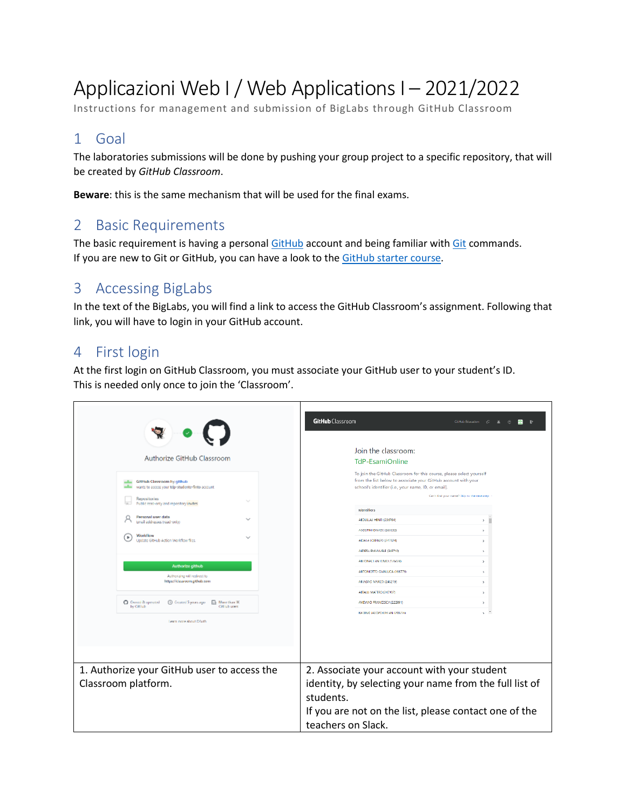# Applicazioni Web I / Web ApplicationsI – 2021/2022

Instructions for management and submission of BigLabs through GitHub Classroom

# 1 Goal

The laboratories submissions will be done by pushing your group project to a specific repository, that will be created by *GitHub Classroom*.

**Beware**: this is the same mechanism that will be used for the final exams.

# 2 Basic Requirements

The basic requirement is having a personal [GitHub](https://github.com/) account and being familiar with [Git](https://git-scm.com/) commands. If you are new to Git or GitHub, you can have a look to the [GitHub starter course.](https://github.com/education/github-starter-course)

# 3 Accessing BigLabs

In the text of the BigLabs, you will find a link to access the GitHub Classroom's assignment. Following that link, you will have to login in your GitHub account.

### 4 First login

At the first login on GitHub Classroom, you must associate your GitHub user to your student's ID. This is needed only once to join the 'Classroom'.

| Authorize GitHub Classroom<br>Gittinh Classoom by gittinh<br>wants to access your trip-studente-finto account. | GitHub Classroom<br>GitHub Education (C & C B ID<br>Join the classroom:<br><b>TdP-EsamiOnline</b><br>To join the GitHub Classroom for this course, please select yourself<br>from the list below to associate your GitHub account with your<br>school's identifier (i.e., your name, ID, or email). |  |  |
|----------------------------------------------------------------------------------------------------------------|-----------------------------------------------------------------------------------------------------------------------------------------------------------------------------------------------------------------------------------------------------------------------------------------------------|--|--|
| Repositories<br>Public read-only and repository invites                                                        | Can't find your name? Skip to the next step<br>Identifiers                                                                                                                                                                                                                                          |  |  |
| Personal user data<br>$\sim$<br>Email addresses tread-only)                                                    | ABDULLAI HENRI (236764)<br>s.                                                                                                                                                                                                                                                                       |  |  |
| Worldflow<br>×<br>w<br>Undate GitHub Action Workflow files.                                                    | AGOSTINI DAVIDE (263632)<br>x<br>AIDALA TORENZO (247824)<br>s                                                                                                                                                                                                                                       |  |  |
|                                                                                                                | ALDERA EMANUELE (245710)<br>5<br>ANIONACLAN IONIO (126624)<br>×.                                                                                                                                                                                                                                    |  |  |
| Authorize github<br>Authorizing will redirect to                                                               | ANTONIOTTO GIANLUCA (166779)<br>٠                                                                                                                                                                                                                                                                   |  |  |
| https://classroom.github.com                                                                                   | ARMGNO MARCO (245219)<br>$\mathbf{A}$<br>ARTALLI MATTEO (247997)<br>s                                                                                                                                                                                                                               |  |  |
| <b>Q</b> Owned & operated<br>by Citilub<br>Citi lub users                                                      | AMENNO FRANCESCA (222991)<br>s                                                                                                                                                                                                                                                                      |  |  |
| Learn more about CAuth                                                                                         | <b>BALDINO TACCIPO DYL AN CABIZINI</b><br>s.                                                                                                                                                                                                                                                        |  |  |
|                                                                                                                |                                                                                                                                                                                                                                                                                                     |  |  |
| 1. Authorize your GitHub user to access the<br>Classroom platform.                                             | 2. Associate your account with your student<br>identity, by selecting your name from the full list of<br>students.<br>If you are not on the list, please contact one of the<br>teachers on Slack.                                                                                                   |  |  |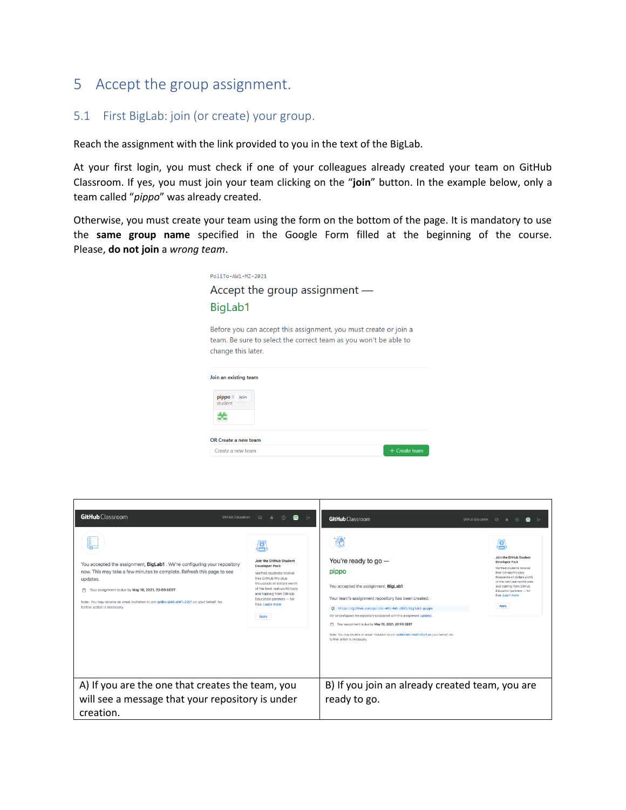### 5 Accept the group assignment.

#### 5.1 First BigLab: join (or create) your group.

Reach the assignment with the link provided to you in the text of the BigLab.

At your first login, you must check if one of your colleagues already created your team on GitHub Classroom. If yes, you must join your team clicking on the "**join**" button. In the example below, only a team called "*pippo*" was already created.

Otherwise, you must create your team using the form on the bottom of the page. It is mandatory to use the **same group name** specified in the Google Form filled at the beginning of the course. Please, **do not join** a *wrong team*.



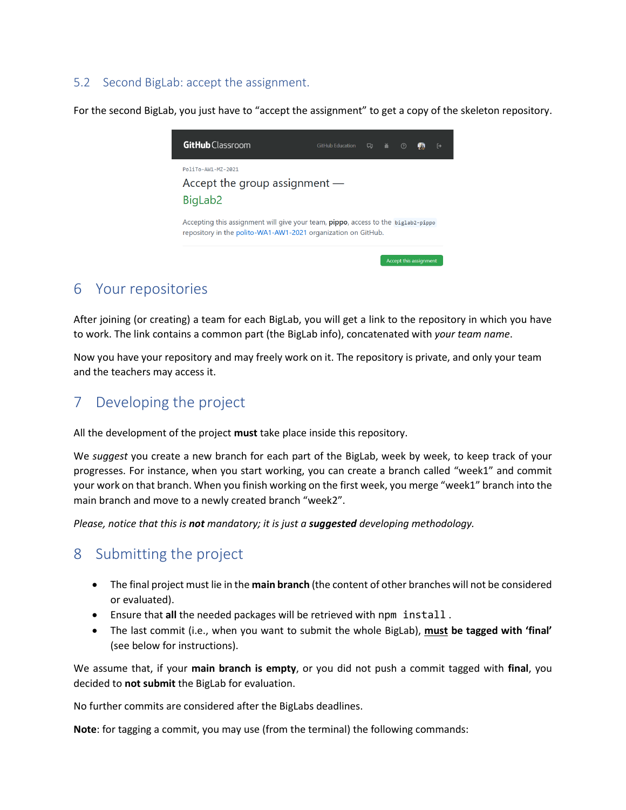#### 5.2 Second BigLab: accept the assignment.

For the second BigLab, you just have to "accept the assignment" to get a copy of the skeleton repository.



### 6 Your repositories

After joining (or creating) a team for each BigLab, you will get a link to the repository in which you have to work. The link contains a common part (the BigLab info), concatenated with *your team name*.

Now you have your repository and may freely work on it. The repository is private, and only your team and the teachers may access it.

### 7 Developing the project

All the development of the project **must** take place inside this repository.

We *suggest* you create a new branch for each part of the BigLab, week by week, to keep track of your progresses. For instance, when you start working, you can create a branch called "week1" and commit your work on that branch. When you finish working on the first week, you merge "week1" branch into the main branch and move to a newly created branch "week2".

*Please, notice that this is not mandatory; it is just a suggested developing methodology.*

### 8 Submitting the project

- The final project must lie in the **main branch** (the content of other branches will not be considered or evaluated).
- Ensure that **all** the needed packages will be retrieved with npm install .
- The last commit (i.e., when you want to submit the whole BigLab), **must be tagged with 'final'** (see below for instructions).

We assume that, if your **main branch is empty**, or you did not push a commit tagged with **final**, you decided to **not submit** the BigLab for evaluation.

No further commits are considered after the BigLabs deadlines.

**Note**: for tagging a commit, you may use (from the terminal) the following commands: